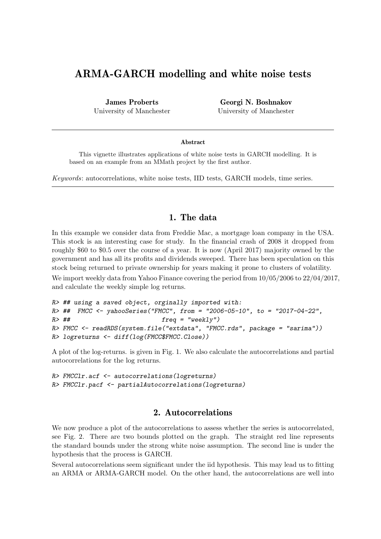# ARMA-GARCH modelling and white noise tests

James Proberts University of Manchester

Georgi N. Boshnakov University of Manchester

#### Abstract

This vignette illustrates applications of white noise tests in GARCH modelling. It is based on an example from an MMath project by the first author.

Keywords: autocorrelations, white noise tests, IID tests, GARCH models, time series.

#### 1. The data

In this example we consider data from Freddie Mac, a mortgage loan company in the USA. This stock is an interesting case for study. In the financial crash of 2008 it dropped from roughly \$60 to \$0.5 over the course of a year. It is now (April 2017) majority owned by the government and has all its profits and dividends sweeped. There has been speculation on this stock being returned to private ownership for years making it prone to clusters of volatility.

We import weekly data from Yahoo Finance covering the period from  $10/05/2006$  to  $22/04/2017$ , and calculate the weekly simple log returns.

```
R> ## using a saved object, orginally imported with:
R > ## FMCC <- yahooSeries("FMCC", from = "2006-05-10", to = "2017-04-22",
R and R \rightarrow H \rightarrow H \rightarrow H \rightarrow H \rightarrow H \rightarrow H \rightarrow H \rightarrow H \rightarrow H \rightarrow H \rightarrow H \rightarrow H \rightarrow H \rightarrow H \rightarrow H \rightarrow H \rightarrow H \rightarrow H \rightarrow H \rightarrow H \rightarrow H \rightarrow H \rightarrow H \R> FMCC <- readRDS(system.file("extdata", "FMCC.rds", package = "sarima"))
R> logreturns <- diff(log(FMCC$FMCC.Close))
```
A plot of the log-returns. is given in Fig. 1. We also calculate the autocorrelations and partial autocorrelations for the log returns.

```
R> FMCClr.acf <- autocorrelations(logreturns)
R> FMCClr.pacf <- partialAutocorrelations(logreturns)
```
#### 2. Autocorrelations

We now produce a plot of the autocorrelations to assess whether the series is autocorrelated, see Fig. 2. There are two bounds plotted on the graph. The straight red line represents the standard bounds under the strong white noise assumption. The second line is under the hypothesis that the process is GARCH.

Several autocorrelations seem significant under the iid hypothesis. This may lead us to fitting an ARMA or ARMA-GARCH model. On the other hand, the autocorrelations are well into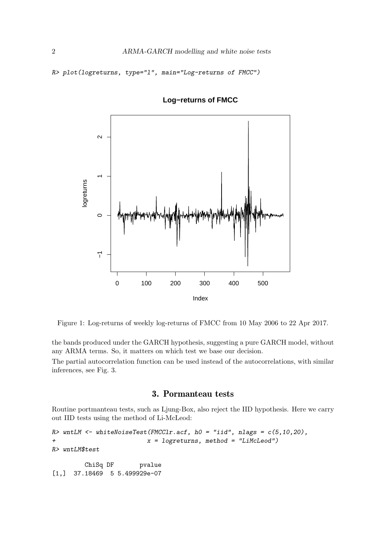R> plot(logreturns, type="l", main="Log-returns of FMCC")



**Log−returns of FMCC**

Figure 1: Log-returns of weekly log-returns of FMCC from 10 May 2006 to 22 Apr 2017.

the bands produced under the GARCH hypothesis, suggesting a pure GARCH model, without any ARMA terms. So, it matters on which test we base our decision.

The partial autocorrelation function can be used instead of the autocorrelations, with similar inferences, see Fig. 3.

### 3. Pormanteau tests

Routine portmanteau tests, such as Ljung-Box, also reject the IID hypothesis. Here we carry out IID tests using the method of Li-McLeod:

```
R> wntLM <- whiteNoiseTest(FMCClr.acf, h0 = "iid", nlags = c(5, 10, 20),
                          x = logreturns, method = "LiMcLeod")R> wntLM$test
```
ChiSq DF pvalue [1,] 37.18469 5 5.499929e-07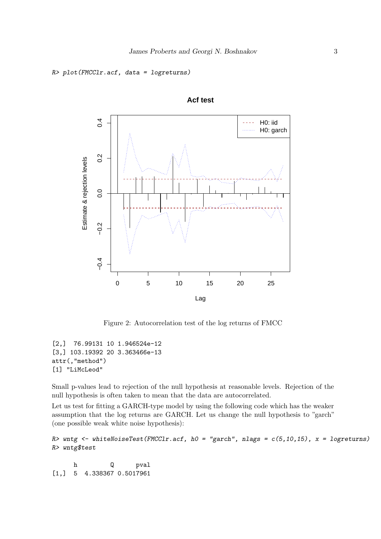```
R> plot(FMCClr.acf, data = logreturns)
```




Figure 2: Autocorrelation test of the log returns of FMCC

[2,] 76.99131 10 1.946524e-12 [3,] 103.19392 20 3.363466e-13 attr(,"method") [1] "LiMcLeod"

Small p-values lead to rejection of the null hypothesis at reasonable levels. Rejection of the null hypothesis is often taken to mean that the data are autocorrelated.

Let us test for fitting a GARCH-type model by using the following code which has the weaker assumption that the log returns are GARCH. Let us change the null hypothesis to "garch" (one possible weak white noise hypothesis):

```
R> wntg <- whiteNoiseTest(FMCClr.acf, h0 = "garch", nlags = c(5, 10, 15), x = logreturns)
R> wntg$test
```
h Q pval [1,] 5 4.338367 0.5017961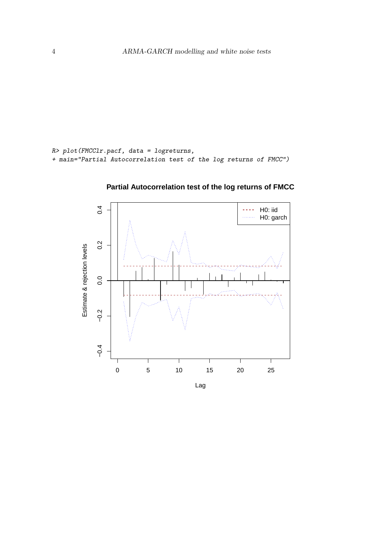```
R> plot(FMCClr.pacf, data = logreturns,
+ main="Partial Autocorrelation test of the log returns of FMCC")
```


**Partial Autocorrelation test of the log returns of FMCC**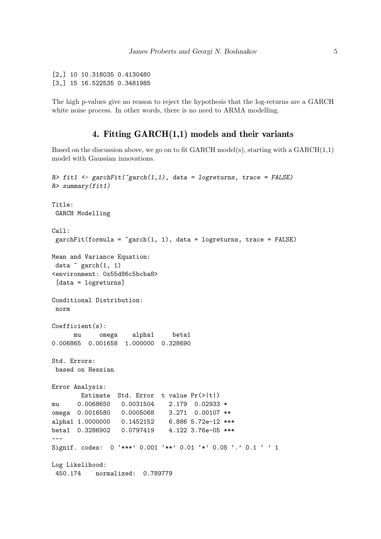[2,] 10 10.318035 0.4130480 [3,] 15 16.522535 0.3481985

The high p-values give no reason to reject the hypothesis that the log-returns are a GARCH white noise process. In other words, there is no need to ARMA modelling.

## 4. Fitting GARCH(1,1) models and their variants

Based on the discussion above, we go on to fit GARCH model(s), starting with a  $GARCH(1,1)$ model with Gaussian innovations.

```
R> fit1 <- garchFit(\tilde{c}garch(1,1), data = logreturns, trace = FALSE)
R> summary(fit1)
Title:
 GARCH Modelling
Call:
 garchFit(formula = "garch(1, 1), data = logreturns, trace = FALSE)Mean and Variance Equation:
 data \degree garch(1, 1)<environment: 0x55d86c5bcba8>
 [data = logreturns]
Conditional Distribution:
 norm
Coefficient(s):
     mu omega alpha1 beta1
0.006865 0.001658 1.000000 0.328690
Std. Errors:
based on Hessian
Error Analysis:
       Estimate Std. Error t value Pr(>|t|)
mu 0.0068650 0.0031504 2.179 0.02933 *
omega 0.0016580 0.0005068 3.271 0.00107 **
alpha1 1.0000000 0.1452152 6.886 5.72e-12 ***
beta1 0.3286902 0.0797419 4.122 3.76e-05 ***
---
Signif. codes: 0 '***' 0.001 '**' 0.01 '*' 0.05 '.' 0.1 ' ' 1
Log Likelihood:
 450.174 normalized: 0.789779
```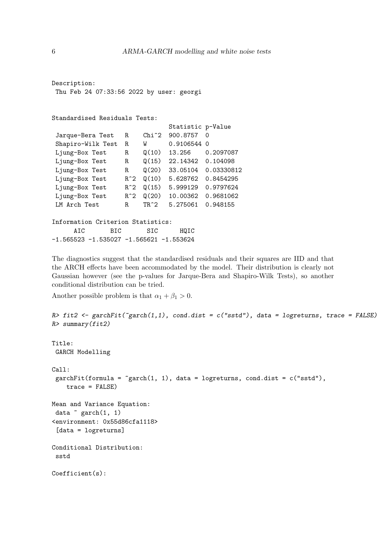```
Description:
 Thu Feb 24 07:33:56 2022 by user: georgi
```

```
Standardised Residuals Tests:
```

|                                           |       |                  | Statistic p-Value |            |
|-------------------------------------------|-------|------------------|-------------------|------------|
| Jarque-Bera Test                          | R     | Chi^2            | 900.8757          | 0          |
| Shapiro-Wilk Test                         | R.    | W                | 0.9106544 0       |            |
| Ljung-Box Test                            | R     | Q(10)            | 13.256            | 0.2097087  |
| Ljung-Box Test                            | R     | Q(15)            | 22.14342          | 0.104098   |
| Ljung-Box Test                            | R     | Q(20)            | 33.05104          | 0.03330812 |
| Ljung-Box Test                            | $R^2$ | Q(10)            | 5.628762          | 0.8454295  |
| Ljung-Box Test                            | $R^2$ | $\mathsf{Q}(15)$ | 5.999129          | 0.9797624  |
| Ljung-Box Test                            | $R^2$ | Q(20)            | 10.00362          | 0.9681062  |
| LM Arch Test                              | R.    | TR^2             | 5.275061          | 0.948155   |
| Information Criterion Statistics:         |       |                  |                   |            |
| AIC<br>BIC                                |       | SIC              | HQIC              |            |
| $-1.565523 -1.535027 -1.565621 -1.553624$ |       |                  |                   |            |

The diagnostics suggest that the standardised residuals and their squares are IID and that the ARCH effects have been accommodated by the model. Their distribution is clearly not Gaussian however (see the p-values for Jarque-Bera and Shapiro-Wilk Tests), so another conditional distribution can be tried.

Another possible problem is that  $\alpha_1 + \beta_1 > 0$ .

```
R> fit2 <- garchFit(\tilde{c}garch(1,1), cond.dist = c("sstd"), data = logreturns, trace = FALSE)
R> summary(fit2)
Title:
 GARCH Modelling
Call:
 garchFit(formula = "garch(1, 1), data = logreturns, cond. dist = c("sstd"),trace = FALSE)
Mean and Variance Equation:
 data \degree garch(1, 1)<environment: 0x55d86cfa1118>
 [data = logreturns]
Conditional Distribution:
 sstd
Coefficient(s):
```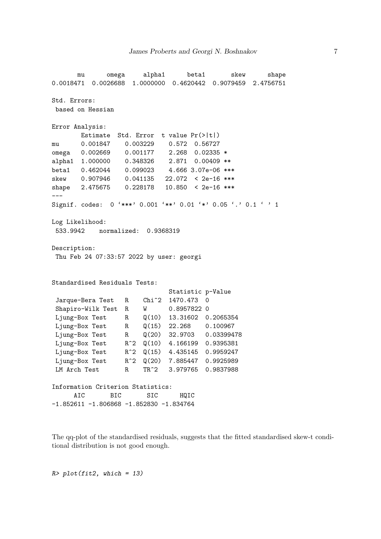```
mu omega alpha1 beta1 skew shape
0.0018471 0.0026688 1.0000000 0.4620442 0.9079459 2.4756751
Std. Errors:
based on Hessian
Error Analysis:
       Estimate Std. Error t value Pr(>|t|)
mu 0.001847 0.003229 0.572 0.56727
omega 0.002669 0.001177 2.268 0.02335 *
alpha1 1.000000 0.348326 2.871 0.00409 **
beta1 0.462044 0.099023 4.666 3.07e-06 ***
skew 0.907946 0.041135 22.072 < 2e-16 ***
shape 2.475675  0.228178  10.850 < 2e-16 ***
Signif. codes: 0 '***' 0.001 '**' 0.01 '*' 0.05 '.' 0.1 ' ' 1
Log Likelihood:
533.9942 normalized: 0.9368319
Description:
Thu Feb 24 07:33:57 2022 by user: georgi
Standardised Residuals Tests:
                            Statistic p-Value
Jarque-Bera Test R Chi<sup>^</sup>2 1470.473 0
Shapiro-Wilk Test R W 0.8957822 0
Ljung-Box Test R Q(10) 13.31602 0.2065354
Ljung-Box Test R Q(15) 22.268 0.100967
Ljung-Box Test R Q(20) 32.9703 0.03399478
Ljung-Box Test R<sup>^</sup>2 Q(10) 4.166199 0.9395381
Ljung-Box Test R^2 Q(15) 4.435145 0.9959247
Ljung-Box Test R<sup>^</sup>2 Q(20) 7.885447 0.9925989
LM Arch Test R TR^2 3.979765 0.9837988
Information Criterion Statistics:
     AIC BIC SIC HQIC
-1.852611 - 1.806868 - 1.852830 - 1.834764
```
The qq-plot of the standardised residuals, suggests that the fitted standardised skew-t conditional distribution is not good enough.

 $R$ > plot(fit2, which = 13)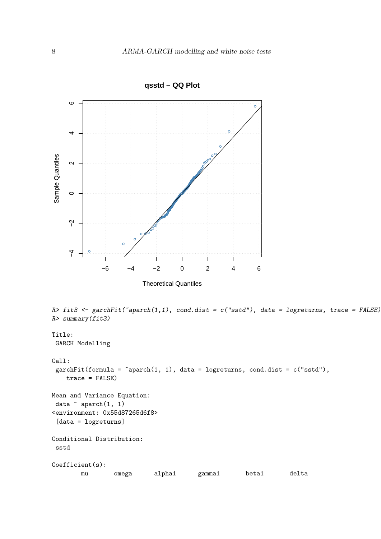

**qsstd − QQ Plot**

```
Theoretical Quantiles
```

```
R> fit3 <- garchFit("aparch(1,1), cond.dist = c("sstd"), data = logreturns, trace = FALSE)
R> summary(fit3)
```

```
Title:
```
GARCH Modelling

```
Call:
garchFit(formula = "aparch(1, 1), data = logreturns, cond.dist = c("sstd"),trace = FALSE)
Mean and Variance Equation:
data \degree aparch(1, 1)<environment: 0x55d87265d6f8>
 [data = logreturns]
Conditional Distribution:
sstd
Coefficient(s):
       mu omega alpha1 gamma1 beta1 delta
```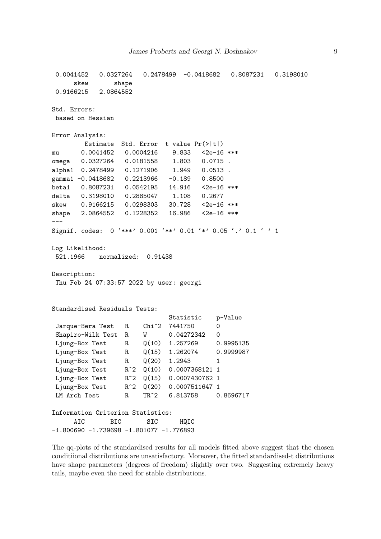0.0041452 0.0327264 0.2478499 -0.0418682 0.8087231 0.3198010 skew shape 0.9166215 2.0864552 Std. Errors: based on Hessian Error Analysis: Estimate Std. Error t value Pr(>|t|) mu 0.0041452 0.0004216 9.833 <2e-16 \*\*\* omega 0.0327264 0.0181558 1.803 0.0715 . alpha1 0.2478499 0.1271906 1.949 0.0513 . gamma1 -0.0418682 0.2213966 -0.189 0.8500 beta1 0.8087231 0.0542195 14.916 <2e-16 \*\*\* delta 0.3198010 0.2885047 1.108 0.2677 skew 0.9166215 0.0298303 30.728 <2e-16 \*\*\* shape 2.0864552 0.1228352 16.986 <2e-16 \*\*\* --- Signif. codes: 0 '\*\*\*' 0.001 '\*\*' 0.01 '\*' 0.05 '.' 0.1 ' ' 1 Log Likelihood: 521.1966 normalized: 0.91438 Description: Thu Feb 24 07:33:57 2022 by user: georgi Standardised Residuals Tests: Statistic p-Value Jarque-Bera Test R Chi<sup>^</sup>2 7441750 0 Shapiro-Wilk Test R W 0.04272342 0 Ljung-Box Test R Q(10) 1.257269 0.9995135 Ljung-Box Test R Q(15) 1.262074 0.9999987 Ljung-Box Test R  $Q(20)$  1.2943 1 Ljung-Box Test R<sup>^2</sup> Q(10) 0.0007368121 1 Ljung-Box Test R^2 Q(15) 0.0007430762 1 Ljung-Box Test R^2 Q(20) 0.0007511647 1 LM Arch Test R TR^2 6.813758 0.8696717 Information Criterion Statistics: AIC BIC SIC HQIC -1.800690 -1.739698 -1.801077 -1.776893

The qq-plots of the standardised results for all models fitted above suggest that the chosen conditiional distributions are unsatisfactory. Moreover, the fitted standardised-t distributions have shape parameters (degrees of freedom) slightly over two. Suggesting extremely heavy tails, maybe even the need for stable distributions.